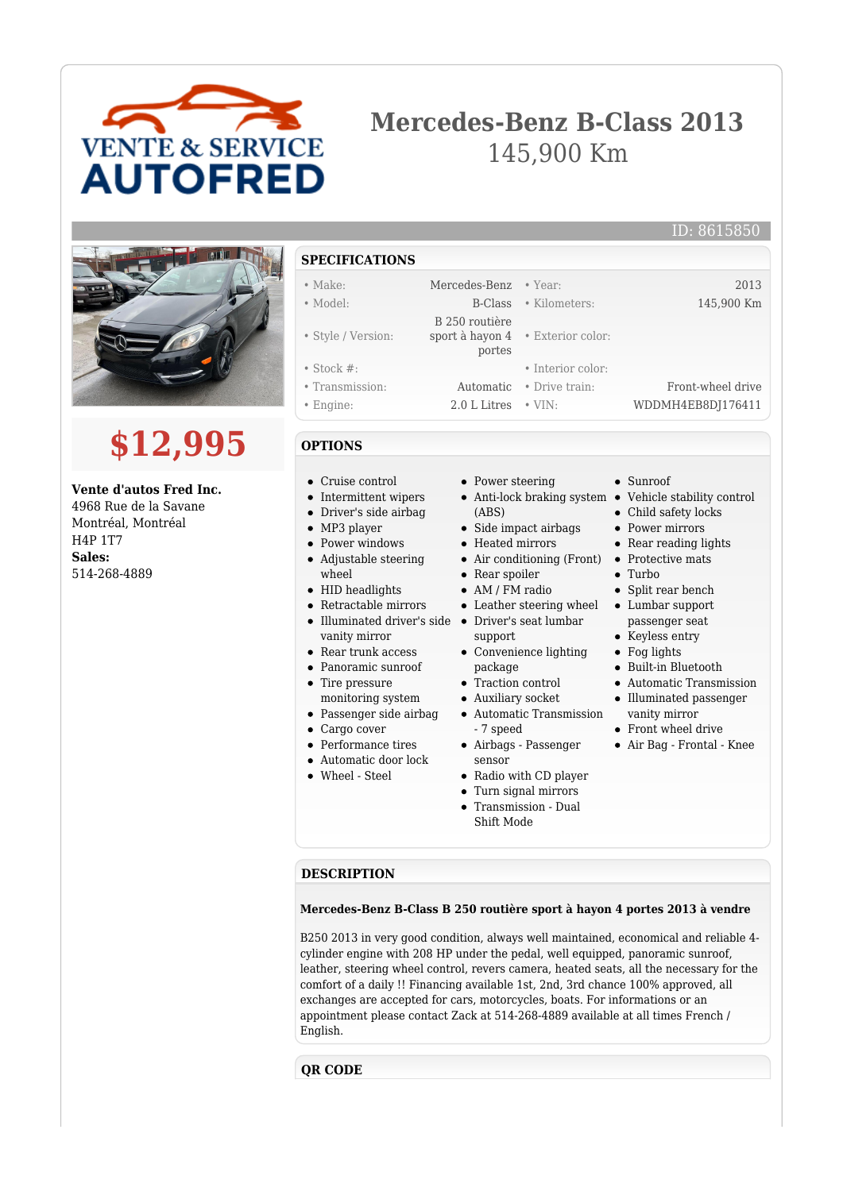

# **Mercedes-Benz B-Class 2013** 145,900 Km



# **\$12,995**

### **Vente d'autos Fred Inc.**

4968 Rue de la Savane Montréal, Montréal H4P 1T7 **Sales:** 514-268-4889

## **SPECIFICATIONS**

#### • Make: Mercedes-Benz • Year: 2013

- 
- Style / Version:
- 
- Stock #: Interior color:
- Transmission: Automatic Drive train: Front-wheel drive
- Engine: 2.0 L Litres VIN: WDDMH4EB8DJ176411

#### **OPTIONS**

- Cruise control
- Intermittent wipers
- Driver's side airbag
- MP3 player
- Power windows
- Adjustable steering wheel
- HID headlights
- Retractable mirrors
- Illuminated driver's side Driver's seat lumbar vanity mirror
- Rear trunk access
- Panoramic sunroof
- Tire pressure monitoring system
- Passenger side airbag
- Cargo cover
- Performance tires
- Automatic door lock
- Wheel Steel

• Power steering

sport à hayon 4 • Exterior color: portes

B 250 routière

- Anti-lock braking system Vehicle stability control (ABS)
- Side impact airbags
- Heated mirrors
- Air conditioning (Front) Protective mats
- Rear spoiler
- AM / FM radio
- Leather steering wheel
- 
- support Convenience lighting package
- Traction control
- Auxiliary socket
- Automatic Transmission - 7 speed
- Airbags Passenger sensor
- Radio with CD player
- Turn signal mirrors
- Transmission Dual Shift Mode
- Sunroof
- 
- Child safety locks
- Power mirrors
- Rear reading lights
- 
- Turbo
- Split rear bench
- Lumbar support passenger seat
- Keyless entry
- Fog lights
- Built-in Bluetooth
- Automatic Transmission
- Illuminated passenger vanity mirror
- Front wheel drive
- Air Bag Frontal Knee

**DESCRIPTION**

#### **Mercedes-Benz B-Class B 250 routière sport à hayon 4 portes 2013 à vendre**

B250 2013 in very good condition, always well maintained, economical and reliable 4 cylinder engine with 208 HP under the pedal, well equipped, panoramic sunroof, leather, steering wheel control, revers camera, heated seats, all the necessary for the comfort of a daily !! Financing available 1st, 2nd, 3rd chance 100% approved, all exchanges are accepted for cars, motorcycles, boats. For informations or an appointment please contact Zack at 514-268-4889 available at all times French / English.

#### **QR CODE**

• Model: B-Class • Kilometers: 145,900 Km

ID: 8615850